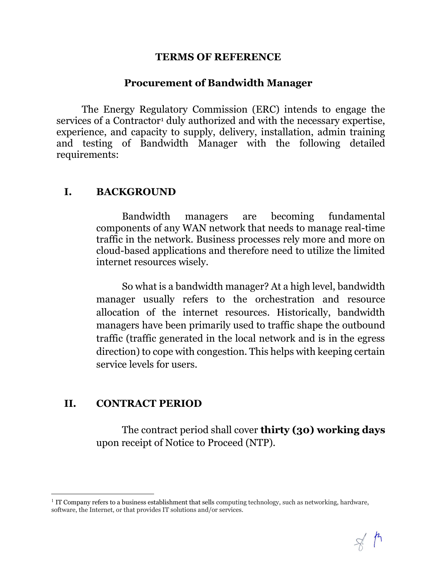#### TERMS OF REFERENCE

#### Procurement of Bandwidth Manager

The Energy Regulatory Commission (ERC) intends to engage the services of a Contractor<sup>1</sup> duly authorized and with the necessary expertise, experience, and capacity to supply, delivery, installation, admin training and testing of Bandwidth Manager with the following detailed requirements:

### I. BACKGROUND

Bandwidth managers are becoming fundamental components of any WAN network that needs to manage real-time traffic in the network. Business processes rely more and more on cloud-based applications and therefore need to utilize the limited internet resources wisely.

So what is a bandwidth manager? At a high level, bandwidth manager usually refers to the orchestration and resource allocation of the internet resources. Historically, bandwidth managers have been primarily used to traffic shape the outbound traffic (traffic generated in the local network and is in the egress direction) to cope with congestion. This helps with keeping certain service levels for users.

### II. CONTRACT PERIOD

l

The contract period shall cover **thirty (30)** working days upon receipt of Notice to Proceed (NTP).

<sup>&</sup>lt;sup>1</sup> IT Company refers to a business establishment that sells computing technology, such as networking, hardware, software, the Internet, or that provides IT solutions and/or services.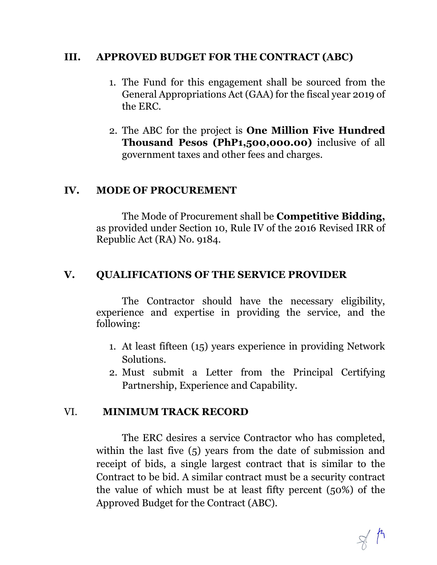## III. APPROVED BUDGET FOR THE CONTRACT (ABC)

- 1. The Fund for this engagement shall be sourced from the General Appropriations Act (GAA) for the fiscal year 2019 of the ERC.
- 2. The ABC for the project is One Million Five Hundred Thousand Pesos (PhP1,500,000.00) inclusive of all government taxes and other fees and charges.

### IV. MODE OF PROCUREMENT

The Mode of Procurement shall be Competitive Bidding, as provided under Section 10, Rule IV of the 2016 Revised IRR of Republic Act (RA) No. 9184.

## V. QUALIFICATIONS OF THE SERVICE PROVIDER

The Contractor should have the necessary eligibility, experience and expertise in providing the service, and the following:

- 1. At least fifteen (15) years experience in providing Network Solutions.
- 2. Must submit a Letter from the Principal Certifying Partnership, Experience and Capability.

## VI. MINIMUM TRACK RECORD

The ERC desires a service Contractor who has completed, within the last five (5) years from the date of submission and receipt of bids, a single largest contract that is similar to the Contract to be bid. A similar contract must be a security contract the value of which must be at least fifty percent (50%) of the Approved Budget for the Contract (ABC).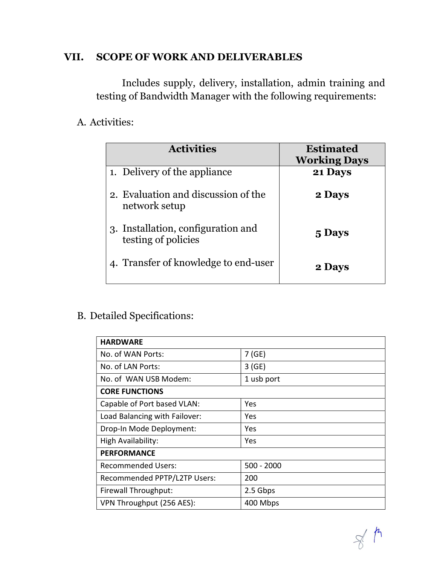# VII. SCOPE OF WORK AND DELIVERABLES

Includes supply, delivery, installation, admin training and testing of Bandwidth Manager with the following requirements:

# A. Activities:

| <b>Activities</b>                                         | <b>Estimated</b><br><b>Working Days</b> |
|-----------------------------------------------------------|-----------------------------------------|
| 1. Delivery of the appliance                              | 21 Days                                 |
| 2. Evaluation and discussion of the<br>network setup      | 2 Days                                  |
| 3. Installation, configuration and<br>testing of policies | 5 Days                                  |
| 4. Transfer of knowledge to end-user                      | 2 Days                                  |

# B. Detailed Specifications:

| <b>HARDWARE</b>               |              |  |
|-------------------------------|--------------|--|
| No. of WAN Ports:             | 7(GE)        |  |
| No. of LAN Ports:             | 3(GE)        |  |
| No. of WAN USB Modem:         | 1 usb port   |  |
| <b>CORE FUNCTIONS</b>         |              |  |
| Capable of Port based VLAN:   | Yes          |  |
| Load Balancing with Failover: | Yes          |  |
| Drop-In Mode Deployment:      | Yes          |  |
| High Availability:            | Yes          |  |
| <b>PERFORMANCE</b>            |              |  |
| <b>Recommended Users:</b>     | $500 - 2000$ |  |
| Recommended PPTP/L2TP Users:  | 200          |  |
| Firewall Throughput:          | 2.5 Gbps     |  |
| VPN Throughput (256 AES):     | 400 Mbps     |  |
|                               |              |  |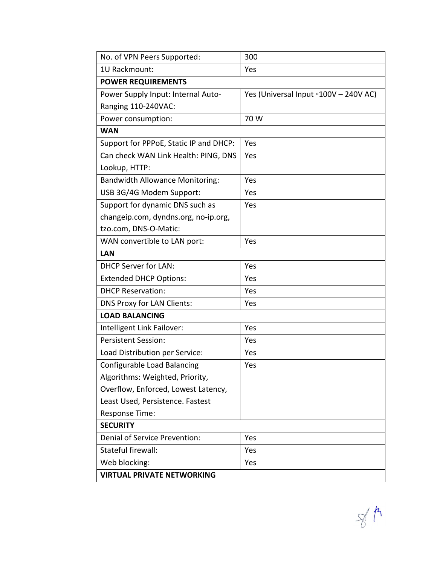| No. of VPN Peers Supported:            | 300                                   |  |
|----------------------------------------|---------------------------------------|--|
| 1U Rackmount:                          | Yes                                   |  |
| <b>POWER REQUIREMENTS</b>              |                                       |  |
| Power Supply Input: Internal Auto-     | Yes (Universal Input o100V - 240V AC) |  |
| Ranging 110-240VAC:                    |                                       |  |
| Power consumption:                     | 70 W                                  |  |
| <b>WAN</b>                             |                                       |  |
| Support for PPPoE, Static IP and DHCP: | Yes                                   |  |
| Can check WAN Link Health: PING, DNS   | Yes                                   |  |
| Lookup, HTTP:                          |                                       |  |
| <b>Bandwidth Allowance Monitoring:</b> | Yes                                   |  |
| USB 3G/4G Modem Support:               | Yes                                   |  |
| Support for dynamic DNS such as        | Yes                                   |  |
| changeip.com, dyndns.org, no-ip.org,   |                                       |  |
| tzo.com, DNS-O-Matic:                  |                                       |  |
| WAN convertible to LAN port:           | Yes                                   |  |
| <b>LAN</b>                             |                                       |  |
| <b>DHCP Server for LAN:</b>            | Yes                                   |  |
| <b>Extended DHCP Options:</b>          | Yes                                   |  |
| <b>DHCP Reservation:</b>               | Yes                                   |  |
| <b>DNS Proxy for LAN Clients:</b>      | Yes                                   |  |
| <b>LOAD BALANCING</b>                  |                                       |  |
| Intelligent Link Failover:             | Yes                                   |  |
| <b>Persistent Session:</b>             | Yes                                   |  |
| Load Distribution per Service:         | Yes                                   |  |
| <b>Configurable Load Balancing</b>     | Yes                                   |  |
| Algorithms: Weighted, Priority,        |                                       |  |
| Overflow, Enforced, Lowest Latency,    |                                       |  |
| Least Used, Persistence. Fastest       |                                       |  |
| Response Time:                         |                                       |  |
| <b>SECURITY</b>                        |                                       |  |
| Denial of Service Prevention:          | Yes                                   |  |
| Stateful firewall:                     | Yes                                   |  |
| Web blocking:                          | Yes                                   |  |
| <b>VIRTUAL PRIVATE NETWORKING</b>      |                                       |  |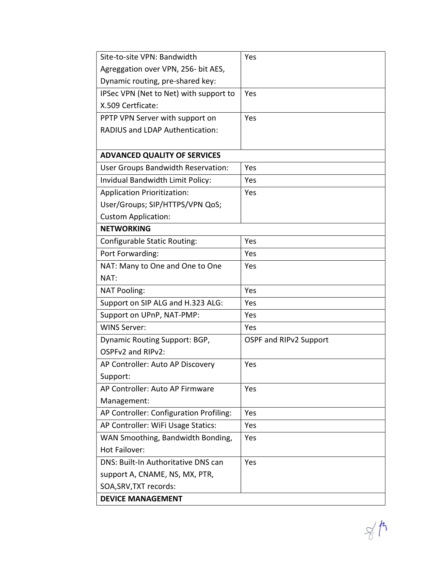| Site-to-site VPN: Bandwidth             | Yes                    |
|-----------------------------------------|------------------------|
| Agreggation over VPN, 256- bit AES,     |                        |
| Dynamic routing, pre-shared key:        |                        |
| IPSec VPN (Net to Net) with support to  | Yes                    |
| X.509 Certficate:                       |                        |
| PPTP VPN Server with support on         | Yes                    |
| <b>RADIUS and LDAP Authentication:</b>  |                        |
|                                         |                        |
| <b>ADVANCED QUALITY OF SERVICES</b>     |                        |
| User Groups Bandwidth Reservation:      | Yes                    |
| Invidual Bandwidth Limit Policy:        | Yes                    |
| <b>Application Prioritization:</b>      | Yes                    |
| User/Groups; SIP/HTTPS/VPN QoS;         |                        |
| <b>Custom Application:</b>              |                        |
| <b>NETWORKING</b>                       |                        |
| <b>Configurable Static Routing:</b>     | Yes                    |
| Port Forwarding:                        | Yes                    |
| NAT: Many to One and One to One         | Yes                    |
| NAT:                                    |                        |
| <b>NAT Pooling:</b>                     | Yes                    |
| Support on SIP ALG and H.323 ALG:       | Yes                    |
| Support on UPnP, NAT-PMP:               | Yes                    |
| <b>WINS Server:</b>                     | Yes                    |
| Dynamic Routing Support: BGP,           | OSPF and RIPv2 Support |
| OSPFv2 and RIPv2:                       |                        |
| AP Controller: Auto AP Discovery        | Yes                    |
| Support:                                |                        |
| AP Controller: Auto AP Firmware         | Yes                    |
| Management:                             |                        |
| AP Controller: Configuration Profiling: | Yes                    |
| AP Controller: WiFi Usage Statics:      | Yes                    |
| WAN Smoothing, Bandwidth Bonding,       | Yes                    |
| Hot Failover:                           |                        |
| DNS: Built-In Authoritative DNS can     | Yes                    |
| support A, CNAME, NS, MX, PTR,          |                        |
| SOA, SRV, TXT records:                  |                        |
| <b>DEVICE MANAGEMENT</b>                |                        |

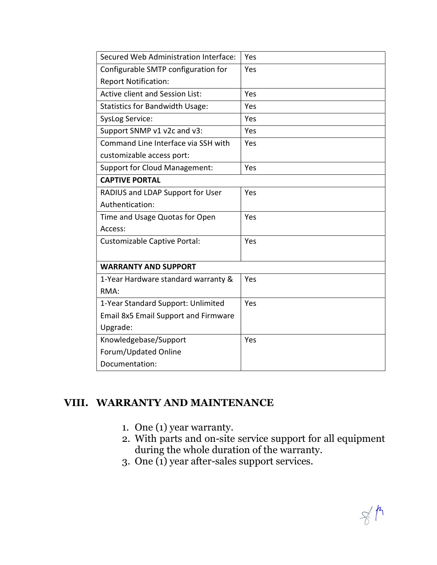| Secured Web Administration Interface:       | Yes |  |
|---------------------------------------------|-----|--|
| Configurable SMTP configuration for         | Yes |  |
| <b>Report Notification:</b>                 |     |  |
| <b>Active client and Session List:</b>      | Yes |  |
| <b>Statistics for Bandwidth Usage:</b>      | Yes |  |
| <b>SysLog Service:</b>                      | Yes |  |
| Support SNMP v1 v2c and v3:                 | Yes |  |
| Command Line Interface via SSH with         | Yes |  |
| customizable access port:                   |     |  |
| <b>Support for Cloud Management:</b>        | Yes |  |
| <b>CAPTIVE PORTAL</b>                       |     |  |
| RADIUS and LDAP Support for User            | Yes |  |
| Authentication:                             |     |  |
| Time and Usage Quotas for Open              | Yes |  |
| Access:                                     |     |  |
| Customizable Captive Portal:                | Yes |  |
|                                             |     |  |
| <b>WARRANTY AND SUPPORT</b>                 |     |  |
| 1-Year Hardware standard warranty &         | Yes |  |
| RMA:                                        |     |  |
| 1-Year Standard Support: Unlimited          | Yes |  |
| <b>Email 8x5 Email Support and Firmware</b> |     |  |
| Upgrade:                                    |     |  |
| Knowledgebase/Support                       | Yes |  |
| Forum/Updated Online                        |     |  |
| Documentation:                              |     |  |

# VIII. WARRANTY AND MAINTENANCE

- 1. One (1) year warranty.
- 2. With parts and on-site service support for all equipment during the whole duration of the warranty.
- 3. One (1) year after-sales support services.

 $\frac{1}{8}$  $\frac{1}{8}$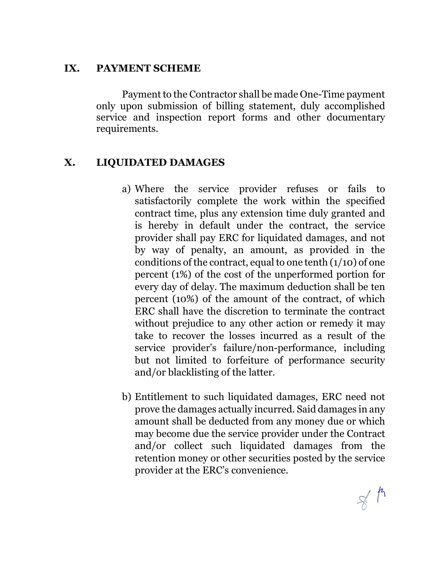## IX. PAYMENT SCHEME

Payment to the Contractor shall be made One-Time payment only upon submission of billing statement, duly accomplished service and inspection report forms and other documentary requirements.

# X. LIQUIDATED DAMAGES

- a) Where the service provider refuses or fails to satisfactorily complete the work within the specified contract time, plus any extension time duly granted and is hereby in default under the contract, the service provider shall pay ERC for liquidated damages, and not by way of penalty, an amount, as provided in the conditions of the contract, equal to one tenth  $(1/10)$  of one percent (1%) of the cost of the unperformed portion for every day of delay. The maximum deduction shall be ten percent (10%) of the amount of the contract, of which ERC shall have the discretion to terminate the contract without prejudice to any other action or remedy it may take to recover the losses incurred as a result of the service provider's failure/non-performance, including but not limited to forfeiture of performance security and/or blacklisting of the latter.
- b) Entitlement to such liquidated damages, ERC need not prove the damages actually incurred. Said damages in any amount shall be deducted from any money due or which may become due the service provider under the Contract and/or collect such liquidated damages from the retention money or other securities posted by the service provider at the ERC's convenience.

 $\frac{1}{\sqrt{2}}$